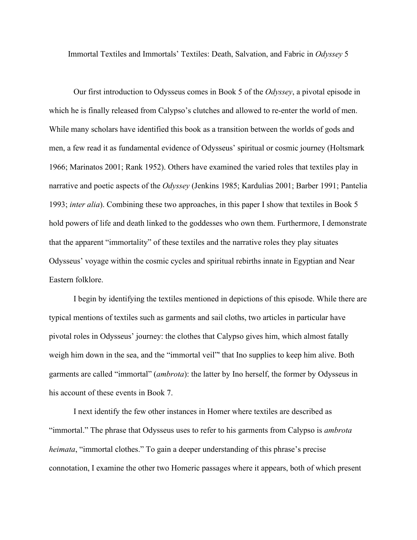Immortal Textiles and Immortals' Textiles: Death, Salvation, and Fabric in *Odyssey* 5

Our first introduction to Odysseus comes in Book 5 of the *Odyssey*, a pivotal episode in which he is finally released from Calypso's clutches and allowed to re-enter the world of men. While many scholars have identified this book as a transition between the worlds of gods and men, a few read it as fundamental evidence of Odysseus' spiritual or cosmic journey (Holtsmark 1966; Marinatos 2001; Rank 1952). Others have examined the varied roles that textiles play in narrative and poetic aspects of the *Odyssey* (Jenkins 1985; Kardulias 2001; Barber 1991; Pantelia 1993; *inter alia*). Combining these two approaches, in this paper I show that textiles in Book 5 hold powers of life and death linked to the goddesses who own them. Furthermore, I demonstrate that the apparent "immortality" of these textiles and the narrative roles they play situates Odysseus' voyage within the cosmic cycles and spiritual rebirths innate in Egyptian and Near Eastern folklore.

I begin by identifying the textiles mentioned in depictions of this episode. While there are typical mentions of textiles such as garments and sail cloths, two articles in particular have pivotal roles in Odysseus' journey: the clothes that Calypso gives him, which almost fatally weigh him down in the sea, and the "immortal veil" that Ino supplies to keep him alive. Both garments are called "immortal" (*ambrota*): the latter by Ino herself, the former by Odysseus in his account of these events in Book 7.

I next identify the few other instances in Homer where textiles are described as "immortal." The phrase that Odysseus uses to refer to his garments from Calypso is *ambrota heimata*, "immortal clothes." To gain a deeper understanding of this phrase's precise connotation, I examine the other two Homeric passages where it appears, both of which present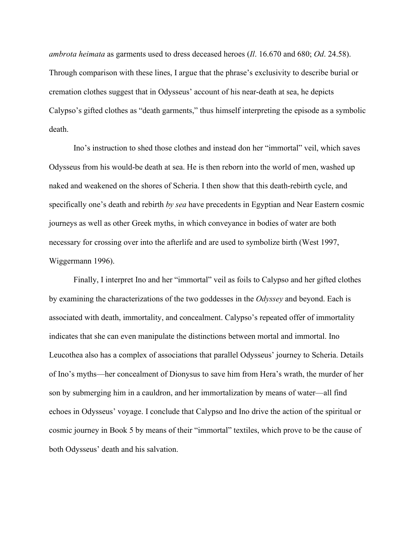*ambrota heimata* as garments used to dress deceased heroes (*Il*. 16.670 and 680; *Od*. 24.58). Through comparison with these lines, I argue that the phrase's exclusivity to describe burial or cremation clothes suggest that in Odysseus' account of his near-death at sea, he depicts Calypso's gifted clothes as "death garments," thus himself interpreting the episode as a symbolic death.

Ino's instruction to shed those clothes and instead don her "immortal" veil, which saves Odysseus from his would-be death at sea. He is then reborn into the world of men, washed up naked and weakened on the shores of Scheria. I then show that this death-rebirth cycle, and specifically one's death and rebirth *by sea* have precedents in Egyptian and Near Eastern cosmic journeys as well as other Greek myths, in which conveyance in bodies of water are both necessary for crossing over into the afterlife and are used to symbolize birth (West 1997, Wiggermann 1996).

Finally, I interpret Ino and her "immortal" veil as foils to Calypso and her gifted clothes by examining the characterizations of the two goddesses in the *Odyssey* and beyond. Each is associated with death, immortality, and concealment. Calypso's repeated offer of immortality indicates that she can even manipulate the distinctions between mortal and immortal. Ino Leucothea also has a complex of associations that parallel Odysseus' journey to Scheria. Details of Ino's myths—her concealment of Dionysus to save him from Hera's wrath, the murder of her son by submerging him in a cauldron, and her immortalization by means of water—all find echoes in Odysseus' voyage. I conclude that Calypso and Ino drive the action of the spiritual or cosmic journey in Book 5 by means of their "immortal" textiles, which prove to be the cause of both Odysseus' death and his salvation.